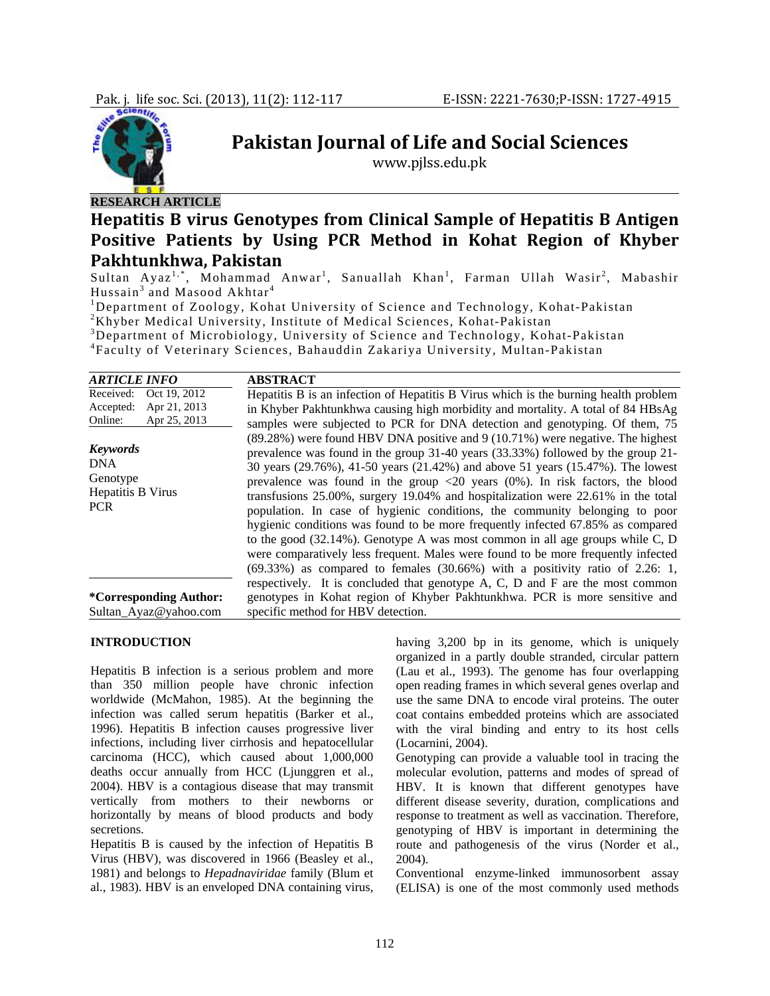

# **RESEARCH ARTICLE**

# **Hepatitis B virus Genotypes from Clinical Sample of Hepatitis B Antigen Positive Patients by Using PCR Method in Kohat Region of Khyber Pakhtunkhwa, Pakistan**

**Pakistan Journal of Life and Social Sciences** www.pjlss.edu.pk

Sultan Ayaz<sup>1,\*</sup>, Mohammad Anwar<sup>1</sup>, Sanuallah Khan<sup>1</sup>, Farman Ullah Wasir<sup>2</sup>, Mabashir Hussain<sup>3</sup> and Masood Akhtar<sup>4</sup>

<sup>1</sup>Department of Zoology, Kohat University of Science and Technology, Kohat-Pakistan <sup>2</sup>*V* hyper-Madisel University Institute of Madisel Sciences, Kohat Pakistan

 ${}^{2}$ Khyber Medical University, Institute of Medical Sciences, Kohat-Pakistan

Department of Microbiology, University of Science and Technology, Kohat-Pakistan

4 Faculty of Veterinary Sciences, Bahauddin Zakariya University, Multan-Pakistan

| <b>ARTICLE INFO</b>                                                               | <b>ABSTRACT</b>                                                                                                                                                                                                                                                                                                                                                                                                                                                                                                                                                                                                                                                                                                                                                                                                                                                                     |
|-----------------------------------------------------------------------------------|-------------------------------------------------------------------------------------------------------------------------------------------------------------------------------------------------------------------------------------------------------------------------------------------------------------------------------------------------------------------------------------------------------------------------------------------------------------------------------------------------------------------------------------------------------------------------------------------------------------------------------------------------------------------------------------------------------------------------------------------------------------------------------------------------------------------------------------------------------------------------------------|
| Oct 19, 2012<br>Received:<br>Apr 21, 2013<br>Accepted:<br>Apr 25, 2013<br>Online: | Hepatitis B is an infection of Hepatitis B Virus which is the burning health problem<br>in Khyber Pakhtunkhwa causing high morbidity and mortality. A total of 84 HBsAg<br>samples were subjected to PCR for DNA detection and genotyping. Of them, 75                                                                                                                                                                                                                                                                                                                                                                                                                                                                                                                                                                                                                              |
| <b>Keywords</b><br><b>DNA</b><br>Genotype<br>Hepatitis B Virus<br><b>PCR</b>      | $(89.28%)$ were found HBV DNA positive and 9 (10.71%) were negative. The highest<br>prevalence was found in the group 31-40 years (33.33%) followed by the group 21-<br>30 years (29.76%), 41-50 years (21.42%) and above 51 years (15.47%). The lowest<br>prevalence was found in the group $\langle 20 \rangle$ years (0%). In risk factors, the blood<br>transfusions $25.00\%$ , surgery 19.04% and hospitalization were $22.61\%$ in the total<br>population. In case of hygienic conditions, the community belonging to poor<br>hygienic conditions was found to be more frequently infected 67.85% as compared<br>to the good $(32.14\%)$ . Genotype A was most common in all age groups while C, D<br>were comparatively less frequent. Males were found to be more frequently infected<br>$(69.33%)$ as compared to females $(30.66%)$ with a positivity ratio of 2.26: 1, |
| <i>*</i> Corresponding Author:<br>Sultan_Ayaz@yahoo.com                           | respectively. It is concluded that genotype A, C, D and F are the most common<br>genotypes in Kohat region of Khyber Pakhtunkhwa. PCR is more sensitive and<br>specific method for HBV detection.                                                                                                                                                                                                                                                                                                                                                                                                                                                                                                                                                                                                                                                                                   |

## **INTRODUCTION**

Hepatitis B infection is a serious problem and more than 350 million people have chronic infection worldwide (McMahon, 1985). At the beginning the infection was called serum hepatitis (Barker et al., 1996). Hepatitis B infection causes progressive liver infections, including liver cirrhosis and hepatocellular carcinoma (HCC), which caused about 1,000,000 deaths occur annually from HCC (Ljunggren et al., 2004). HBV is a contagious disease that may transmit vertically from mothers to their newborns or horizontally by means of blood products and body secretions.

Hepatitis B is caused by the infection of Hepatitis B Virus (HBV), was discovered in 1966 (Beasley et al., 1981) and belongs to *Hepadnaviridae* family (Blum et al., 1983). HBV is an enveloped DNA containing virus, having 3,200 bp in its genome, which is uniquely organized in a partly double stranded, circular pattern (Lau et al., 1993). The genome has four overlapping open reading frames in which several genes overlap and use the same DNA to encode viral proteins. The outer coat contains embedded proteins which are associated with the viral binding and entry to its host cells (Locarnini, 2004).

Genotyping can provide a valuable tool in tracing the molecular evolution, patterns and modes of spread of HBV. It is known that different genotypes have different disease severity, duration, complications and response to treatment as well as vaccination. Therefore, genotyping of HBV is important in determining the route and pathogenesis of the virus (Norder et al., 2004).

Conventional enzyme-linked immunosorbent assay (ELISA) is one of the most commonly used methods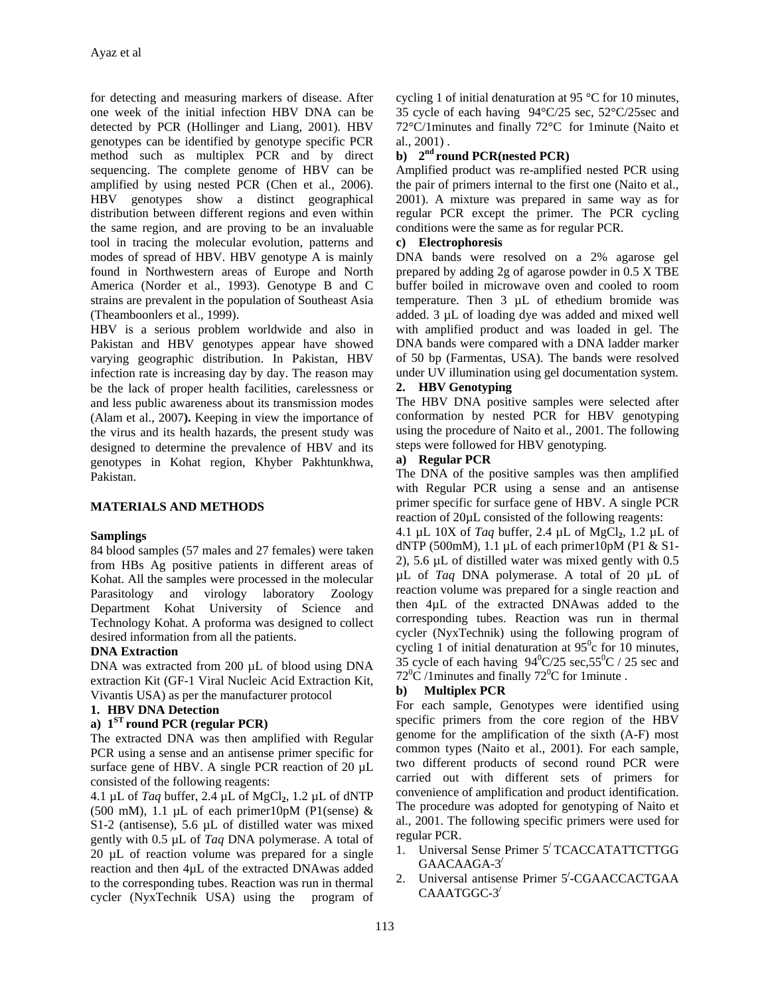for detecting and measuring markers of disease. After one week of the initial infection HBV DNA can be detected by PCR (Hollinger and Liang, 2001). HBV genotypes can be identified by genotype specific PCR method such as multiplex PCR and by direct sequencing. The complete genome of HBV can be amplified by using nested PCR (Chen et al., 2006). HBV genotypes show a distinct geographical distribution between different regions and even within the same region, and are proving to be an invaluable tool in tracing the molecular evolution, patterns and modes of spread of HBV. HBV genotype A is mainly found in Northwestern areas of Europe and North America (Norder et al., 1993). Genotype B and C strains are prevalent in the population of Southeast Asia (Theamboonlers et al., 1999).

HBV is a serious problem worldwide and also in Pakistan and HBV genotypes appear have showed varying geographic distribution. In Pakistan, HBV infection rate is increasing day by day. The reason may be the lack of proper health facilities, carelessness or and less public awareness about its transmission modes (Alam et al., 2007**).** Keeping in view the importance of the virus and its health hazards, the present study was designed to determine the prevalence of HBV and its genotypes in Kohat region, Khyber Pakhtunkhwa, Pakistan.

# **MATERIALS AND METHODS**

#### **Samplings**

84 blood samples (57 males and 27 females) were taken from HBs Ag positive patients in different areas of Kohat. All the samples were processed in the molecular Parasitology and virology laboratory Zoology Department Kohat University of Science and Technology Kohat. A proforma was designed to collect desired information from all the patients.

#### **DNA Extraction**

DNA was extracted from 200 µL of blood using DNA extraction Kit (GF-1 Viral Nucleic Acid Extraction Kit, Vivantis USA) as per the manufacturer protocol

# **1. HBV DNA Detection**

# **a) 1ST round PCR (regular PCR)**

The extracted DNA was then amplified with Regular PCR using a sense and an antisense primer specific for surface gene of HBV. A single PCR reaction of 20  $\mu$ L consisted of the following reagents:

4.1 µL of *Taq* buffer, 2.4 µL of MgCl**2**, 1.2 µL of dNTP (500 mM), 1.1 µL of each primer10pM (P1(sense)  $\&$ S1-2 (antisense), 5.6 µL of distilled water was mixed gently with 0.5 µL of *Taq* DNA polymerase. A total of 20 µL of reaction volume was prepared for a single reaction and then 4µL of the extracted DNAwas added to the corresponding tubes. Reaction was run in thermal cycler (NyxTechnik USA) using the program of

cycling 1 of initial denaturation at 95 °C for 10 minutes, 35 cycle of each having 94°C/25 sec, 52°C/25sec and 72°C/1minutes and finally 72°C for 1minute (Naito et al., 2001) .

# **b) 2nd round PCR(nested PCR)**

Amplified product was re-amplified nested PCR using the pair of primers internal to the first one (Naito et al., 2001). A mixture was prepared in same way as for regular PCR except the primer. The PCR cycling conditions were the same as for regular PCR.

# **c) Electrophoresis**

DNA bands were resolved on a 2% agarose gel prepared by adding 2g of agarose powder in 0.5 X TBE buffer boiled in microwave oven and cooled to room temperature. Then 3 µL of ethedium bromide was added. 3 µL of loading dye was added and mixed well with amplified product and was loaded in gel. The DNA bands were compared with a DNA ladder marker of 50 bp (Farmentas, USA). The bands were resolved under UV illumination using gel documentation system. **2. HBV Genotyping** 

The HBV DNA positive samples were selected after conformation by nested PCR for HBV genotyping using the procedure of Naito et al., 2001. The following steps were followed for HBV genotyping.

#### **a) Regular PCR**

The DNA of the positive samples was then amplified with Regular PCR using a sense and an antisense primer specific for surface gene of HBV. A single PCR reaction of 20µL consisted of the following reagents:

4.1 µL 10X of *Taq* buffer, 2.4 µL of MgCl**2**, 1.2 µL of dNTP (500mM), 1.1 µL of each primer10pM (P1 & S1- 2), 5.6 µL of distilled water was mixed gently with 0.5 µL of *Taq* DNA polymerase. A total of 20 µL of reaction volume was prepared for a single reaction and then 4µL of the extracted DNAwas added to the corresponding tubes. Reaction was run in thermal cycler (NyxTechnik) using the following program of cycling 1 of initial denaturation at  $95^\circ$ c for 10 minutes, 35 cycle of each having  $94^{\circ}C/25$  sec,  $55^{\circ}C/25$  sec and  $72^{\circ}$ C /1 minutes and finally  $72^{\circ}$ C for 1 minute.

# **b) Multiplex PCR**

For each sample, Genotypes were identified using specific primers from the core region of the HBV genome for the amplification of the sixth (A-F) most common types (Naito et al., 2001). For each sample, two different products of second round PCR were carried out with different sets of primers for convenience of amplification and product identification. The procedure was adopted for genotyping of Naito et al., 2001. The following specific primers were used for regular PCR.

- 1. Universal Sense Primer 5**/** TCACCATATTCTTGG GAACAAGA-3**/**
- 2. Universal antisense Primer 5**/** -CGAACCACTGAA CAAATGGC-3**/**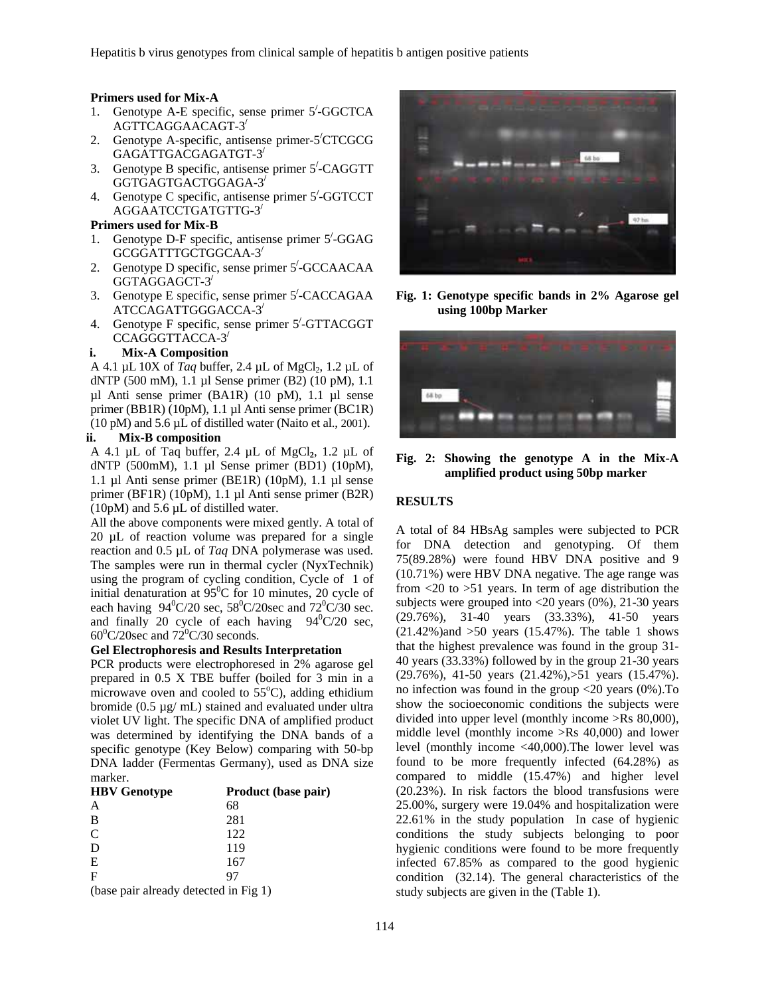#### **Primers used for Mix-A**

- 1. Genotype A-E specific, sense primer 5<sup> $\text{/}-$ </sup>GGCTCA AGTTCAGGAACAGT-3**/**
- 2. Genotype A-specific, antisense primer-5**/** CTCGCG GAGATTGACGAGATGT-3**/**
- 3. Genotype B specific, antisense primer 5**/** -CAGGTT GGTGAGTGACTGGAGA-3**/**
- 4. Genotype C specific, antisense primer 5**/** -GGTCCT AGGAATCCTGATGTTG-3**/**

#### **Primers used for Mix-B**

- 1. Genotype D-F specific, antisense primer 5**/** -GGAG GCGGATTTGCTGGCAA-3**/**
- 2. Genotype D specific, sense primer 5**/** -GCCAACAA GGTAGGAGCT-3**/**
- 3. Genotype E specific, sense primer 5**/** -CACCAGAA ATCCAGATTGGGACCA-3**/**
- 4. Genotype F specific, sense primer 5<sup> $\text{/}-$ </sup>GTTACGGT CCAGGGTTACCA-3**/**

#### **i. Mix-A Composition**

A 4.1 µL 10X of *Taq* buffer, 2.4 µL of MgCl<sub>2</sub>, 1.2 µL of dNTP (500 mM), 1.1 µl Sense primer (B2) (10 pM), 1.1 µl Anti sense primer (BA1R) (10 pM), 1.1 µl sense primer (BB1R) (10pM), 1.1 µl Anti sense primer (BC1R) (10 pM) and 5.6 µL of distilled water (Naito et al., 2001).

# **ii. Mix-B composition**

A 4.1 µL of Taq buffer, 2.4 µL of MgCl**2**, 1.2 µL of dNTP (500mM), 1.1 µl Sense primer (BD1) (10pM), 1.1 µl Anti sense primer (BE1R) (10pM), 1.1 µl sense primer (BF1R) (10pM), 1.1 µl Anti sense primer (B2R) (10pM) and 5.6 µL of distilled water.

All the above components were mixed gently. A total of 20 µL of reaction volume was prepared for a single reaction and 0.5 µL of *Taq* DNA polymerase was used. The samples were run in thermal cycler (NyxTechnik) using the program of cycling condition, Cycle of 1 of initial denaturation at  $95^{\circ}$ C for 10 minutes, 20 cycle of each having  $94^{0}C/20$  sec,  $58^{0}C/20$  sec and  $72^{0}C/30$  sec. and finally 20 cycle of each having  $94^{\circ}C/20$  sec,  $60^{\circ}$ C/20sec and  $72^{\circ}$ C/30 seconds.

# **Gel Electrophoresis and Results Interpretation**

PCR products were electrophoresed in 2% agarose gel prepared in 0.5 X TBE buffer (boiled for 3 min in a microwave oven and cooled to  $55^{\circ}$ C), adding ethidium bromide (0.5 µg/ mL) stained and evaluated under ultra violet UV light. The specific DNA of amplified product was determined by identifying the DNA bands of a specific genotype (Key Below) comparing with 50-bp DNA ladder (Fermentas Germany), used as DNA size marker.

| <b>HBV</b> Genotype                                                                           | <b>Product (base pair)</b> |  |  |
|-----------------------------------------------------------------------------------------------|----------------------------|--|--|
| A                                                                                             | 68                         |  |  |
| B                                                                                             | 281                        |  |  |
| C                                                                                             | 122                        |  |  |
| D                                                                                             | 119                        |  |  |
| E                                                                                             | 167                        |  |  |
| F                                                                                             | 97                         |  |  |
| $\Lambda$ and $\Lambda$ and $\Lambda$ and $\Lambda$ and $\Lambda$ and $\Lambda$ and $\Lambda$ |                            |  |  |

(base pair already detected in Fig 1)



**Fig. 1: Genotype specific bands in 2% Agarose gel using 100bp Marker** 



**Fig. 2: Showing the genotype A in the Mix-A amplified product using 50bp marker** 

### **RESULTS**

A total of 84 HBsAg samples were subjected to PCR for DNA detection and genotyping. Of them 75(89.28%) were found HBV DNA positive and 9 (10.71%) were HBV DNA negative. The age range was from <20 to >51 years. In term of age distribution the subjects were grouped into  $\langle 20 \rangle$  years (0%), 21-30 years (29.76%), 31-40 years (33.33%), 41-50 years  $(21.42\%)$  and  $>50$  years  $(15.47\%)$ . The table 1 shows that the highest prevalence was found in the group 31- 40 years (33.33%) followed by in the group 21-30 years (29.76%), 41-50 years (21.42%),>51 years (15.47%). no infection was found in the group <20 years (0%).To show the socioeconomic conditions the subjects were divided into upper level (monthly income >Rs 80,000), middle level (monthly income >Rs 40,000) and lower level (monthly income <40,000).The lower level was found to be more frequently infected (64.28%) as compared to middle (15.47%) and higher level (20.23%). In risk factors the blood transfusions were 25.00%, surgery were 19.04% and hospitalization were 22.61% in the study population In case of hygienic conditions the study subjects belonging to poor hygienic conditions were found to be more frequently infected 67.85% as compared to the good hygienic condition (32.14). The general characteristics of the study subjects are given in the (Table 1).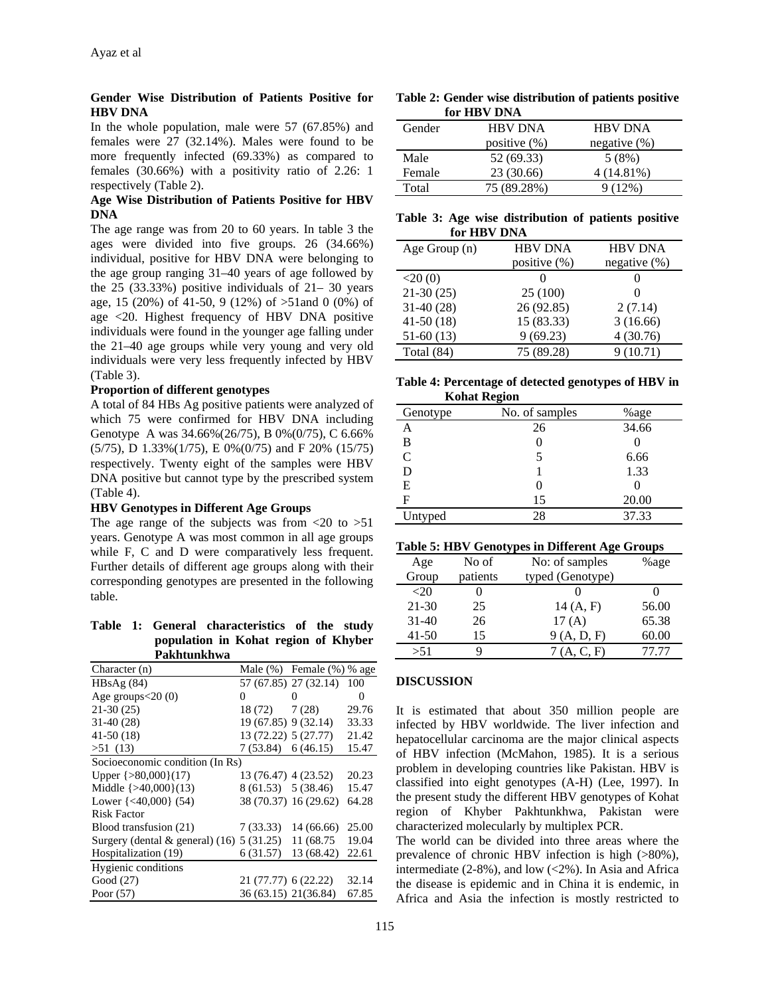# **Gender Wise Distribution of Patients Positive for HBV DNA**

In the whole population, male were 57 (67.85%) and females were 27 (32.14%). Males were found to be more frequently infected (69.33%) as compared to females (30.66%) with a positivity ratio of 2.26: 1 respectively (Table 2).

# **Age Wise Distribution of Patients Positive for HBV DNA**

The age range was from 20 to 60 years. In table 3 the ages were divided into five groups. 26 (34.66%) individual, positive for HBV DNA were belonging to the age group ranging 31–40 years of age followed by the  $25$  (33.33%) positive individuals of  $21 - 30$  years age, 15 (20%) of 41-50, 9 (12%) of >51and 0 (0%) of age <20. Highest frequency of HBV DNA positive individuals were found in the younger age falling under the 21–40 age groups while very young and very old individuals were very less frequently infected by HBV (Table 3).

# **Proportion of different genotypes**

A total of 84 HBs Ag positive patients were analyzed of which 75 were confirmed for HBV DNA including Genotype A was 34.66%(26/75), B 0%(0/75), C 6.66% (5/75), D 1.33%(1/75), E 0%(0/75) and F 20% (15/75) respectively. Twenty eight of the samples were HBV DNA positive but cannot type by the prescribed system (Table 4).

#### **HBV Genotypes in Different Age Groups**

The age range of the subjects was from  $\langle 20 \rangle$  to  $>51$ years. Genotype A was most common in all age groups while F, C and D were comparatively less frequent. Further details of different age groups along with their corresponding genotypes are presented in the following table.

**Table 1: General characteristics of the study population in Kohat region of Khyber Pakhtunkhwa** 

| Character (n)                                |                       | Male $(\%)$ Female $(\%)$ % age |       |
|----------------------------------------------|-----------------------|---------------------------------|-------|
| HBsAg(84)                                    |                       | 57 (67.85) 27 (32.14)           | 100   |
| Age groups $<$ 20 $(0)$                      | $\theta$              | $\theta$                        | 0     |
| $21-30(25)$                                  | 18(72)                | 7(28)                           | 29.76 |
| $31-40(28)$                                  | 19 (67.85) 9 (32.14)  |                                 | 33.33 |
| $41-50(18)$                                  | 13 (72.22) 5 (27.77)  |                                 | 21.42 |
| >51(13)                                      | 7(53.84) 6(46.15)     |                                 | 15.47 |
| Socioeconomic condition (In Rs)              |                       |                                 |       |
| Upper $\{>80,000\}(17)$                      | 13 (76.47) 4 (23.52)  |                                 | 20.23 |
| Middle $\{>40,000\}(13)$                     | 8 (61.53) 5 (38.46)   |                                 | 15.47 |
| Lower $\{-40,000\}$ (54)                     |                       | 38 (70.37) 16 (29.62)           | 64.28 |
| Risk Factor                                  |                       |                                 |       |
| Blood transfusion (21)                       | 7(33.33)              | 14 (66.66)                      | 25.00 |
| Surgery (dental $\&$ general) (16) 5 (31.25) |                       | 11 (68.75)                      | 19.04 |
| Hospitalization (19)                         | 6(31.57)              | 13 (68.42)                      | 22.61 |
| Hygienic conditions                          |                       |                                 |       |
| Good (27)                                    | 21 (77.77) 6 (22.22)  |                                 | 32.14 |
| Poor $(57)$                                  | 36 (63.15) 21 (36.84) |                                 | 67.85 |

**Table 2: Gender wise distribution of patients positive for HBV DNA** 

|        | шин т           |                 |
|--------|-----------------|-----------------|
| Gender | <b>HBV DNA</b>  | <b>HBV DNA</b>  |
|        | positive $(\%)$ | negative $(\%)$ |
| Male   | 52 (69.33)      | 5(8%)           |
| Female | 23 (30.66)      | 4 (14.81%)      |
| Total  | 75 (89.28%)     | 9(12%)          |
|        |                 |                 |

|  |             | Table 3: Age wise distribution of patients positive |  |  |
|--|-------------|-----------------------------------------------------|--|--|
|  | for HBV DNA |                                                     |  |  |

| Age Group $(n)$ | <b>HBV DNA</b>  | <b>HBV DNA</b>  |
|-----------------|-----------------|-----------------|
|                 | positive $(\%)$ | negative $(\%)$ |
| $<$ 20 $(0)$    |                 | $\mathbf{0}$    |
| $21-30(25)$     | 25 (100)        | $\Omega$        |
| $31-40(28)$     | 26 (92.85)      | 2(7.14)         |
| $41-50(18)$     | 15 (83.33)      | 3(16.66)        |
| $51-60(13)$     | 9(69.23)        | 4(30.76)        |
| Total $(84)$    | 75 (89.28)      | 9(10.71)        |

**Table 4: Percentage of detected genotypes of HBV in Kohat Region** 

| ------- <i>---</i> --- |                |       |  |  |
|------------------------|----------------|-------|--|--|
| Genotype               | No. of samples | %age  |  |  |
| А                      | 26             | 34.66 |  |  |
| B                      |                |       |  |  |
| C                      |                | 6.66  |  |  |
| D                      |                | 1.33  |  |  |
| Е                      |                |       |  |  |
| F                      | 15             | 20.00 |  |  |
| Untyped                | 28             | 37.33 |  |  |

### **Table 5: HBV Genotypes in Different Age Groups**

| No of    | No: of samples   | %age  |
|----------|------------------|-------|
| patients | typed (Genotype) |       |
|          |                  |       |
| 25       | 14(A, F)         | 56.00 |
| 26       | 17(A)            | 65.38 |
| 15       | 9(A, D, F)       | 60.00 |
|          | (A, C, F)        | 77 77 |
|          |                  |       |

# **DISCUSSION**

It is estimated that about 350 million people are infected by HBV worldwide. The liver infection and hepatocellular carcinoma are the major clinical aspects of HBV infection (McMahon, 1985). It is a serious problem in developing countries like Pakistan. HBV is classified into eight genotypes (A-H) (Lee, 1997). In the present study the different HBV genotypes of Kohat region of Khyber Pakhtunkhwa, Pakistan were characterized molecularly by multiplex PCR.

The world can be divided into three areas where the prevalence of chronic HBV infection is high (>80%), intermediate  $(2-8\%)$ , and low  $(<2\%)$ . In Asia and Africa the disease is epidemic and in China it is endemic, in Africa and Asia the infection is mostly restricted to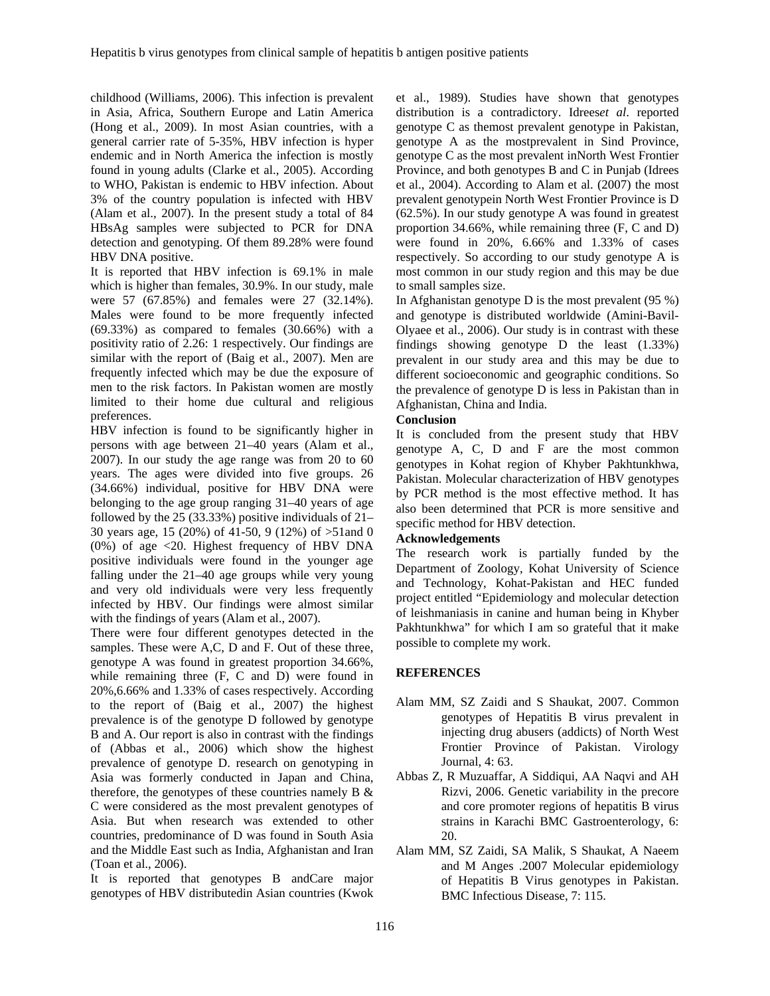childhood (Williams, 2006). This infection is prevalent in Asia, Africa, Southern Europe and Latin America (Hong et al., 2009). In most Asian countries, with a general carrier rate of 5-35%, HBV infection is hyper endemic and in North America the infection is mostly found in young adults (Clarke et al., 2005). According to WHO, Pakistan is endemic to HBV infection. About 3% of the country population is infected with HBV (Alam et al., 2007). In the present study a total of 84 HBsAg samples were subjected to PCR for DNA detection and genotyping. Of them 89.28% were found HBV DNA positive.

It is reported that HBV infection is 69.1% in male which is higher than females, 30.9%. In our study, male were 57 (67.85%) and females were 27 (32.14%). Males were found to be more frequently infected (69.33%) as compared to females (30.66%) with a positivity ratio of 2.26: 1 respectively. Our findings are similar with the report of (Baig et al., 2007). Men are frequently infected which may be due the exposure of men to the risk factors. In Pakistan women are mostly limited to their home due cultural and religious preferences.

HBV infection is found to be significantly higher in persons with age between 21–40 years (Alam et al., 2007). In our study the age range was from 20 to 60 years. The ages were divided into five groups. 26 (34.66%) individual, positive for HBV DNA were belonging to the age group ranging 31–40 years of age followed by the 25 (33.33%) positive individuals of 21– 30 years age, 15 (20%) of 41-50, 9 (12%) of >51and 0 (0%) of age <20. Highest frequency of HBV DNA positive individuals were found in the younger age falling under the 21–40 age groups while very young and very old individuals were very less frequently infected by HBV. Our findings were almost similar with the findings of years (Alam et al., 2007).

There were four different genotypes detected in the samples. These were A,C, D and F. Out of these three, genotype A was found in greatest proportion 34.66%, while remaining three (F, C and D) were found in 20%,6.66% and 1.33% of cases respectively. According to the report of (Baig et al., 2007) the highest prevalence is of the genotype D followed by genotype B and A. Our report is also in contrast with the findings of (Abbas et al., 2006) which show the highest prevalence of genotype D. research on genotyping in Asia was formerly conducted in Japan and China, therefore, the genotypes of these countries namely  $B \&$ C were considered as the most prevalent genotypes of Asia. But when research was extended to other countries, predominance of D was found in South Asia and the Middle East such as India, Afghanistan and Iran (Toan et al., 2006).

It is reported that genotypes B andCare major genotypes of HBV distributedin Asian countries (Kwok

et al., 1989). Studies have shown that genotypes distribution is a contradictory. Idrees*et al*. reported genotype C as themost prevalent genotype in Pakistan, genotype A as the mostprevalent in Sind Province, genotype C as the most prevalent inNorth West Frontier Province, and both genotypes B and C in Punjab (Idrees et al., 2004). According to Alam et al. (2007) the most prevalent genotypein North West Frontier Province is D (62.5%). In our study genotype A was found in greatest proportion 34.66%, while remaining three (F, C and D) were found in 20%, 6.66% and 1.33% of cases respectively. So according to our study genotype A is most common in our study region and this may be due to small samples size.

In Afghanistan genotype D is the most prevalent (95 %) and genotype is distributed worldwide (Amini-Bavil-Olyaee et al., 2006). Our study is in contrast with these findings showing genotype D the least (1.33%) prevalent in our study area and this may be due to different socioeconomic and geographic conditions. So the prevalence of genotype D is less in Pakistan than in Afghanistan, China and India.

# **Conclusion**

It is concluded from the present study that HBV genotype A, C, D and F are the most common genotypes in Kohat region of Khyber Pakhtunkhwa, Pakistan. Molecular characterization of HBV genotypes by PCR method is the most effective method. It has also been determined that PCR is more sensitive and specific method for HBV detection.

# **Acknowledgements**

The research work is partially funded by the Department of Zoology, Kohat University of Science and Technology, Kohat-Pakistan and HEC funded project entitled "Epidemiology and molecular detection of leishmaniasis in canine and human being in Khyber Pakhtunkhwa" for which I am so grateful that it make possible to complete my work.

# **REFERENCES**

- Alam MM, SZ Zaidi and S Shaukat, 2007. Common genotypes of Hepatitis B virus prevalent in injecting drug abusers (addicts) of North West Frontier Province of Pakistan. Virology Journal, 4: 63.
- Abbas Z, R Muzuaffar, A Siddiqui, AA Naqvi and AH Rizvi, 2006. Genetic variability in the precore and core promoter regions of hepatitis B virus strains in Karachi BMC Gastroenterology, 6: 20.
- Alam MM, SZ Zaidi, SA Malik, S Shaukat, A Naeem and M Anges .2007 Molecular epidemiology of Hepatitis B Virus genotypes in Pakistan. BMC Infectious Disease, 7: 115.